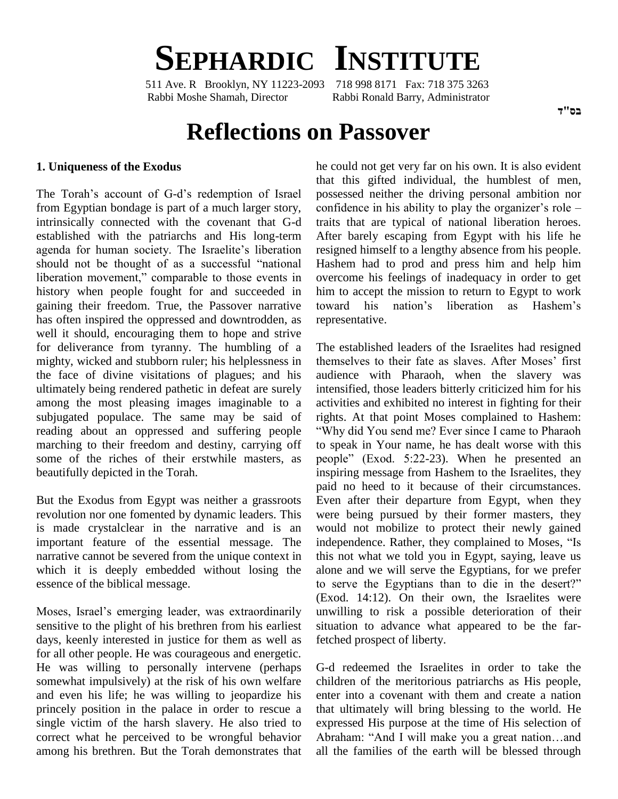# **SEPHARDIC INSTITUTE**

 511 Ave. R Brooklyn, NY 11223-2093 718 998 8171 Fax: 718 375 3263 Rabbi Moshe Shamah, Director Rabbi Ronald Barry, Administrator

# **Reflections on Passover**

#### **1. Uniqueness of the Exodus**

The Torah"s account of G-d"s redemption of Israel from Egyptian bondage is part of a much larger story, intrinsically connected with the covenant that G-d established with the patriarchs and His long-term agenda for human society. The Israelite's liberation should not be thought of as a successful "national liberation movement," comparable to those events in history when people fought for and succeeded in gaining their freedom. True, the Passover narrative has often inspired the oppressed and downtrodden, as well it should, encouraging them to hope and strive for deliverance from tyranny. The humbling of a mighty, wicked and stubborn ruler; his helplessness in the face of divine visitations of plagues; and his ultimately being rendered pathetic in defeat are surely among the most pleasing images imaginable to a subjugated populace. The same may be said of reading about an oppressed and suffering people marching to their freedom and destiny, carrying off some of the riches of their erstwhile masters, as beautifully depicted in the Torah.

But the Exodus from Egypt was neither a grassroots revolution nor one fomented by dynamic leaders. This is made crystalclear in the narrative and is an important feature of the essential message. The narrative cannot be severed from the unique context in which it is deeply embedded without losing the essence of the biblical message.

Moses, Israel"s emerging leader, was extraordinarily sensitive to the plight of his brethren from his earliest days, keenly interested in justice for them as well as for all other people. He was courageous and energetic. He was willing to personally intervene (perhaps somewhat impulsively) at the risk of his own welfare and even his life; he was willing to jeopardize his princely position in the palace in order to rescue a single victim of the harsh slavery. He also tried to correct what he perceived to be wrongful behavior among his brethren. But the Torah demonstrates that he could not get very far on his own. It is also evident that this gifted individual, the humblest of men, possessed neither the driving personal ambition nor confidence in his ability to play the organizer's role  $$ traits that are typical of national liberation heroes. After barely escaping from Egypt with his life he resigned himself to a lengthy absence from his people. Hashem had to prod and press him and help him overcome his feelings of inadequacy in order to get him to accept the mission to return to Egypt to work toward his nation"s liberation as Hashem"s representative.

The established leaders of the Israelites had resigned themselves to their fate as slaves. After Moses' first audience with Pharaoh, when the slavery was intensified, those leaders bitterly criticized him for his activities and exhibited no interest in fighting for their rights. At that point Moses complained to Hashem: "Why did You send me? Ever since I came to Pharaoh to speak in Your name, he has dealt worse with this people" (Exod. 5:22-23). When he presented an inspiring message from Hashem to the Israelites, they paid no heed to it because of their circumstances. Even after their departure from Egypt, when they were being pursued by their former masters, they would not mobilize to protect their newly gained independence. Rather, they complained to Moses, "Is this not what we told you in Egypt, saying, leave us alone and we will serve the Egyptians, for we prefer to serve the Egyptians than to die in the desert?" (Exod. 14:12). On their own, the Israelites were unwilling to risk a possible deterioration of their situation to advance what appeared to be the farfetched prospect of liberty.

G-d redeemed the Israelites in order to take the children of the meritorious patriarchs as His people, enter into a covenant with them and create a nation that ultimately will bring blessing to the world. He expressed His purpose at the time of His selection of Abraham: "And I will make you a great nation…and all the families of the earth will be blessed through

**בס"ד**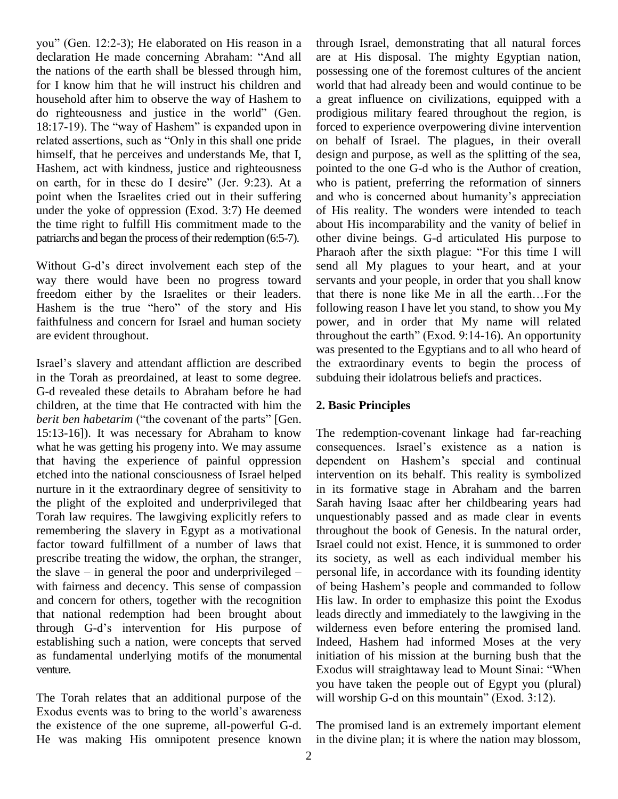you" (Gen. 12:2-3); He elaborated on His reason in a declaration He made concerning Abraham: "And all the nations of the earth shall be blessed through him, for I know him that he will instruct his children and household after him to observe the way of Hashem to do righteousness and justice in the world" (Gen. 18:17-19). The "way of Hashem" is expanded upon in related assertions, such as "Only in this shall one pride himself, that he perceives and understands Me, that I, Hashem, act with kindness, justice and righteousness on earth, for in these do I desire" (Jer. 9:23). At a point when the Israelites cried out in their suffering under the yoke of oppression (Exod. 3:7) He deemed the time right to fulfill His commitment made to the patriarchs and began the process of their redemption (6:5-7).

Without G-d"s direct involvement each step of the way there would have been no progress toward freedom either by the Israelites or their leaders. Hashem is the true "hero" of the story and His faithfulness and concern for Israel and human society are evident throughout.

Israel"s slavery and attendant affliction are described in the Torah as preordained, at least to some degree. G-d revealed these details to Abraham before he had children, at the time that He contracted with him the *berit ben habetarim* ("the covenant of the parts" [Gen. 15:13-16]). It was necessary for Abraham to know what he was getting his progeny into. We may assume that having the experience of painful oppression etched into the national consciousness of Israel helped nurture in it the extraordinary degree of sensitivity to the plight of the exploited and underprivileged that Torah law requires. The lawgiving explicitly refers to remembering the slavery in Egypt as a motivational factor toward fulfillment of a number of laws that prescribe treating the widow, the orphan, the stranger, the slave – in general the poor and underprivileged – with fairness and decency. This sense of compassion and concern for others, together with the recognition that national redemption had been brought about through G-d"s intervention for His purpose of establishing such a nation, were concepts that served as fundamental underlying motifs of the monumental venture.

The Torah relates that an additional purpose of the Exodus events was to bring to the world"s awareness the existence of the one supreme, all-powerful G-d. He was making His omnipotent presence known through Israel, demonstrating that all natural forces are at His disposal. The mighty Egyptian nation, possessing one of the foremost cultures of the ancient world that had already been and would continue to be a great influence on civilizations, equipped with a prodigious military feared throughout the region, is forced to experience overpowering divine intervention on behalf of Israel. The plagues, in their overall design and purpose, as well as the splitting of the sea, pointed to the one G-d who is the Author of creation, who is patient, preferring the reformation of sinners and who is concerned about humanity's appreciation of His reality. The wonders were intended to teach about His incomparability and the vanity of belief in other divine beings. G-d articulated His purpose to Pharaoh after the sixth plague: "For this time I will send all My plagues to your heart, and at your servants and your people, in order that you shall know that there is none like Me in all the earth…For the following reason I have let you stand, to show you My power, and in order that My name will related throughout the earth" (Exod. 9:14-16). An opportunity was presented to the Egyptians and to all who heard of the extraordinary events to begin the process of subduing their idolatrous beliefs and practices.

#### **2. Basic Principles**

The redemption-covenant linkage had far-reaching consequences. Israel"s existence as a nation is dependent on Hashem"s special and continual intervention on its behalf. This reality is symbolized in its formative stage in Abraham and the barren Sarah having Isaac after her childbearing years had unquestionably passed and as made clear in events throughout the book of Genesis. In the natural order, Israel could not exist. Hence, it is summoned to order its society, as well as each individual member his personal life, in accordance with its founding identity of being Hashem"s people and commanded to follow His law. In order to emphasize this point the Exodus leads directly and immediately to the lawgiving in the wilderness even before entering the promised land. Indeed, Hashem had informed Moses at the very initiation of his mission at the burning bush that the Exodus will straightaway lead to Mount Sinai: "When you have taken the people out of Egypt you (plural) will worship G-d on this mountain" (Exod. 3:12).

The promised land is an extremely important element in the divine plan; it is where the nation may blossom,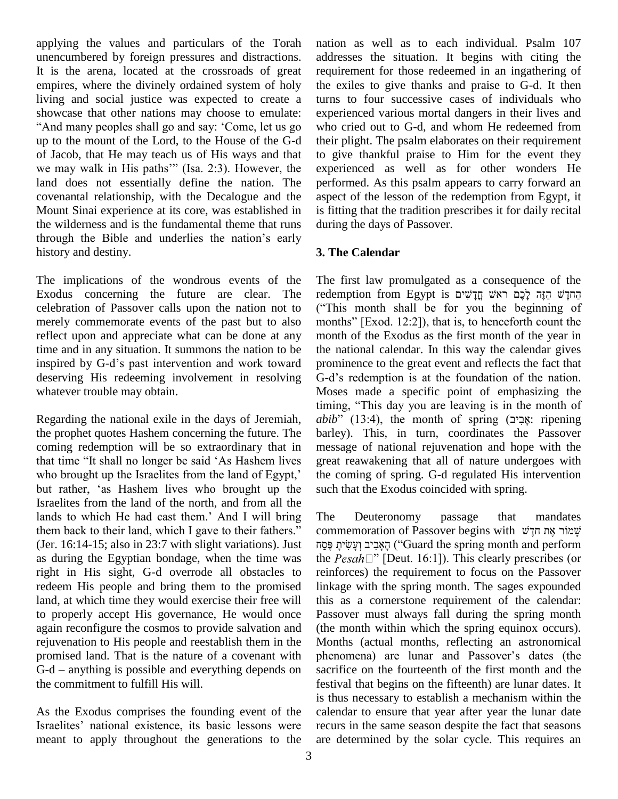applying the values and particulars of the Torah unencumbered by foreign pressures and distractions. It is the arena, located at the crossroads of great empires, where the divinely ordained system of holy living and social justice was expected to create a showcase that other nations may choose to emulate: "And many peoples shall go and say: "Come, let us go up to the mount of the Lord, to the House of the G-d of Jacob, that He may teach us of His ways and that we may walk in His paths"" (Isa. 2:3). However, the land does not essentially define the nation. The covenantal relationship, with the Decalogue and the Mount Sinai experience at its core, was established in the wilderness and is the fundamental theme that runs through the Bible and underlies the nation"s early history and destiny.

The implications of the wondrous events of the Exodus concerning the future are clear. The celebration of Passover calls upon the nation not to merely commemorate events of the past but to also reflect upon and appreciate what can be done at any time and in any situation. It summons the nation to be inspired by G-d"s past intervention and work toward deserving His redeeming involvement in resolving whatever trouble may obtain.

Regarding the national exile in the days of Jeremiah, the prophet quotes Hashem concerning the future. The coming redemption will be so extraordinary that in that time "It shall no longer be said "As Hashem lives who brought up the Israelites from the land of Egypt,' but rather, "as Hashem lives who brought up the Israelites from the land of the north, and from all the lands to which He had cast them." And I will bring them back to their land, which I gave to their fathers." (Jer. 16:14-15; also in 23:7 with slight variations). Just as during the Egyptian bondage, when the time was right in His sight, G-d overrode all obstacles to redeem His people and bring them to the promised land, at which time they would exercise their free will to properly accept His governance, He would once again reconfigure the cosmos to provide salvation and rejuvenation to His people and reestablish them in the promised land. That is the nature of a covenant with G-d – anything is possible and everything depends on the commitment to fulfill His will.

As the Exodus comprises the founding event of the Israelites" national existence, its basic lessons were meant to apply throughout the generations to the nation as well as to each individual. Psalm 107 addresses the situation. It begins with citing the requirement for those redeemed in an ingathering of the exiles to give thanks and praise to G-d. It then turns to four successive cases of individuals who experienced various mortal dangers in their lives and who cried out to G-d, and whom He redeemed from their plight. The psalm elaborates on their requirement to give thankful praise to Him for the event they experienced as well as for other wonders He performed. As this psalm appears to carry forward an aspect of the lesson of the redemption from Egypt, it is fitting that the tradition prescribes it for daily recital during the days of Passover.

#### **3. The Calendar**

The first law promulgated as a consequence of the הַחְדָשׁ הַזֶּה לְכֶם ראשׁ חֱדָשִׁים is הַדָּשׁ לַכֶם הַא redemption from Egypt is ("This month shall be for you the beginning of months" [Exod. 12:2]), that is, to henceforth count the month of the Exodus as the first month of the year in the national calendar. In this way the calendar gives prominence to the great event and reflects the fact that G-d"s redemption is at the foundation of the nation. Moses made a specific point of emphasizing the timing, "This day you are leaving is in the month of *abib*" (13:4), the month of spring (אֲבִיב ripening barley). This, in turn, coordinates the Passover message of national rejuvenation and hope with the great reawakening that all of nature undergoes with the coming of spring. G-d regulated His intervention such that the Exodus coincided with spring.

The Deuteronomy passage that mandates שׁמוֹר אֶת חַדָּשׁ with שַׁמוֹר אֵת חַדָּשׁ האביב ועשית פַּסח ("Guard the spring month and perform the  $Pesah \Box$ " [Deut. 16:1]). This clearly prescribes (or reinforces) the requirement to focus on the Passover linkage with the spring month. The sages expounded this as a cornerstone requirement of the calendar: Passover must always fall during the spring month (the month within which the spring equinox occurs). Months (actual months, reflecting an astronomical phenomena) are lunar and Passover"s dates (the sacrifice on the fourteenth of the first month and the festival that begins on the fifteenth) are lunar dates. It is thus necessary to establish a mechanism within the calendar to ensure that year after year the lunar date recurs in the same season despite the fact that seasons are determined by the solar cycle. This requires an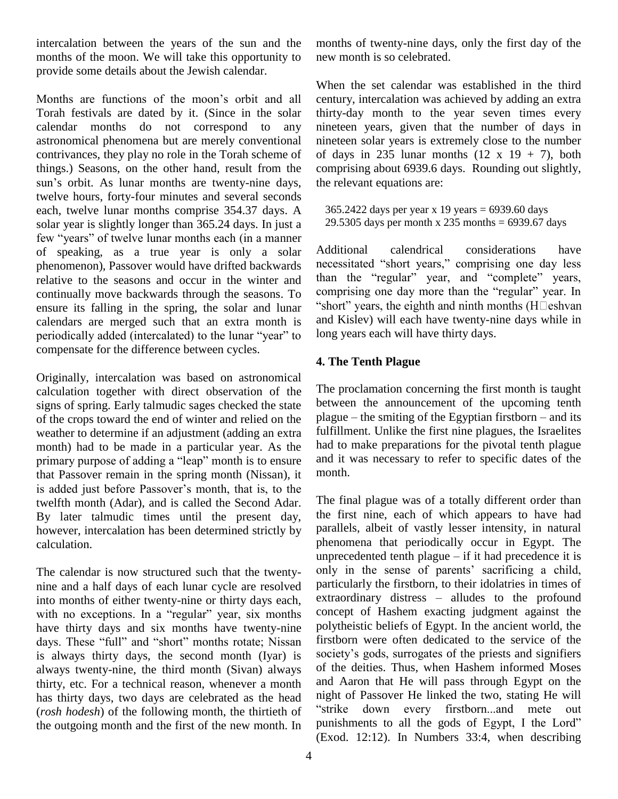intercalation between the years of the sun and the months of the moon. We will take this opportunity to provide some details about the Jewish calendar.

Months are functions of the moon"s orbit and all Torah festivals are dated by it. (Since in the solar calendar months do not correspond to any astronomical phenomena but are merely conventional contrivances, they play no role in the Torah scheme of things.) Seasons, on the other hand, result from the sun"s orbit. As lunar months are twenty-nine days, twelve hours, forty-four minutes and several seconds each, twelve lunar months comprise 354.37 days. A solar year is slightly longer than 365.24 days. In just a few "years" of twelve lunar months each (in a manner of speaking, as a true year is only a solar phenomenon), Passover would have drifted backwards relative to the seasons and occur in the winter and continually move backwards through the seasons. To ensure its falling in the spring, the solar and lunar calendars are merged such that an extra month is periodically added (intercalated) to the lunar "year" to compensate for the difference between cycles.

Originally, intercalation was based on astronomical calculation together with direct observation of the signs of spring. Early talmudic sages checked the state of the crops toward the end of winter and relied on the weather to determine if an adjustment (adding an extra month) had to be made in a particular year. As the primary purpose of adding a "leap" month is to ensure that Passover remain in the spring month (Nissan), it is added just before Passover"s month, that is, to the twelfth month (Adar), and is called the Second Adar. By later talmudic times until the present day, however, intercalation has been determined strictly by calculation.

The calendar is now structured such that the twentynine and a half days of each lunar cycle are resolved into months of either twenty-nine or thirty days each, with no exceptions. In a "regular" year, six months have thirty days and six months have twenty-nine days. These "full" and "short" months rotate; Nissan is always thirty days, the second month (Iyar) is always twenty-nine, the third month (Sivan) always thirty, etc. For a technical reason, whenever a month has thirty days, two days are celebrated as the head (*rosh hodesh*) of the following month, the thirtieth of the outgoing month and the first of the new month. In months of twenty-nine days, only the first day of the new month is so celebrated.

When the set calendar was established in the third century, intercalation was achieved by adding an extra thirty-day month to the year seven times every nineteen years, given that the number of days in nineteen solar years is extremely close to the number of days in 235 lunar months  $(12 \times 19 + 7)$ , both comprising about 6939.6 days. Rounding out slightly, the relevant equations are:

365.2422 days per year x 19 years = 6939.60 days 29.5305 days per month x 235 months = 6939.67 days

Additional calendrical considerations have necessitated "short years," comprising one day less than the "regular" year, and "complete" years, comprising one day more than the "regular" year. In "short" years, the eighth and ninth months  $(H \Box \text{eshvan})$ and Kislev) will each have twenty-nine days while in long years each will have thirty days.

### **4. The Tenth Plague**

The proclamation concerning the first month is taught between the announcement of the upcoming tenth plague – the smiting of the Egyptian firstborn – and its fulfillment. Unlike the first nine plagues, the Israelites had to make preparations for the pivotal tenth plague and it was necessary to refer to specific dates of the month.

The final plague was of a totally different order than the first nine, each of which appears to have had parallels, albeit of vastly lesser intensity, in natural phenomena that periodically occur in Egypt. The unprecedented tenth plague – if it had precedence it is only in the sense of parents" sacrificing a child, particularly the firstborn, to their idolatries in times of extraordinary distress – alludes to the profound concept of Hashem exacting judgment against the polytheistic beliefs of Egypt. In the ancient world, the firstborn were often dedicated to the service of the society's gods, surrogates of the priests and signifiers of the deities. Thus, when Hashem informed Moses and Aaron that He will pass through Egypt on the night of Passover He linked the two, stating He will "strike down every firstborn...and mete out punishments to all the gods of Egypt, I the Lord" (Exod. 12:12). In Numbers 33:4, when describing